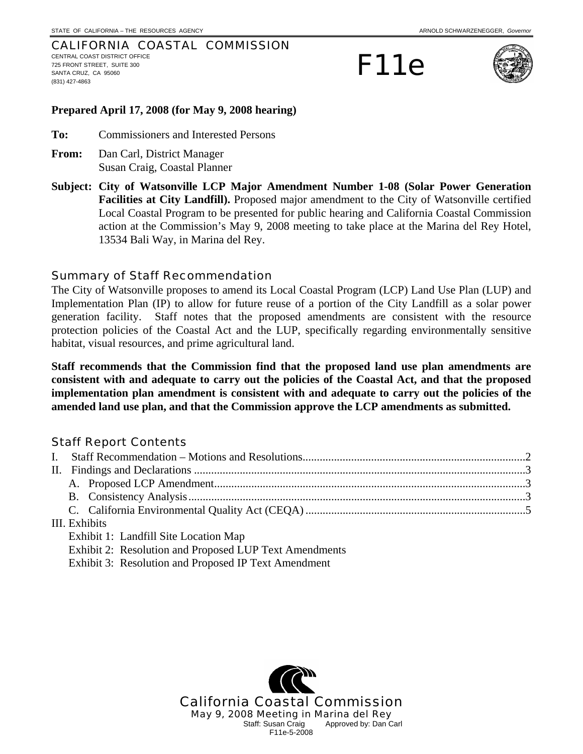#### CALIFORNIA COASTAL COMMISSION CENTRAL COAST DISTRICT OFFICE 725 FRONT STREET, SUITE 300 SANTA CRUZ, CA 95060 (831) 427-4863

F11e



### **Prepared April 17, 2008 (for May 9, 2008 hearing)**

**To:** Commissioners and Interested Persons

- **From:** Dan Carl, District Manager Susan Craig, Coastal Planner
- **Subject: City of Watsonville LCP Major Amendment Number 1-08 (Solar Power Generation Facilities at City Landfill).** Proposed major amendment to the City of Watsonville certified Local Coastal Program to be presented for public hearing and California Coastal Commission action at the Commission's May 9, 2008 meeting to take place at the Marina del Rey Hotel, 13534 Bali Way, in Marina del Rey.

# Summary of Staff Recommendation

The City of Watsonville proposes to amend its Local Coastal Program (LCP) Land Use Plan (LUP) and Implementation Plan (IP) to allow for future reuse of a portion of the City Landfill as a solar power generation facility. Staff notes that the proposed amendments are consistent with the resource protection policies of the Coastal Act and the LUP, specifically regarding environmentally sensitive habitat, visual resources, and prime agricultural land.

**Staff recommends that the Commission find that the proposed land use plan amendments are consistent with and adequate to carry out the policies of the Coastal Act, and that the proposed implementation plan amendment is consistent with and adequate to carry out the policies of the amended land use plan, and that the Commission approve the LCP amendments as submitted.** 

# Staff Report Contents

| III. Exhibits                         |  |  |  |  |
|---------------------------------------|--|--|--|--|
| Exhibit 1: Landfill Site Location Map |  |  |  |  |
|                                       |  |  |  |  |

Exhibit 2: Resolution and Proposed LUP Text Amendments

Exhibit 3: Resolution and Proposed IP Text Amendment

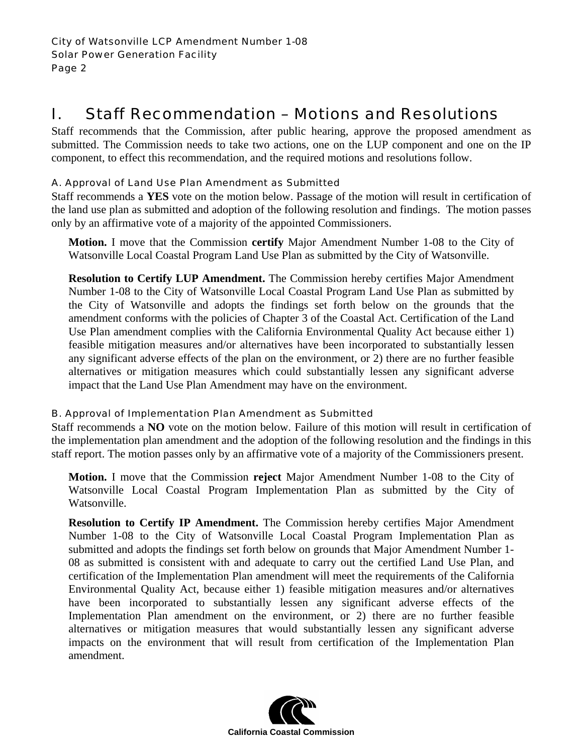# I. Staff Recommendation – Motions and Resolutions

Staff recommends that the Commission, after public hearing, approve the proposed amendment as submitted. The Commission needs to take two actions, one on the LUP component and one on the IP component, to effect this recommendation, and the required motions and resolutions follow.

# A. Approval of Land Use Plan Amendment as Submitted

Staff recommends a **YES** vote on the motion below. Passage of the motion will result in certification of the land use plan as submitted and adoption of the following resolution and findings. The motion passes only by an affirmative vote of a majority of the appointed Commissioners.

**Motion.** I move that the Commission **certify** Major Amendment Number 1-08 to the City of Watsonville Local Coastal Program Land Use Plan as submitted by the City of Watsonville.

**Resolution to Certify LUP Amendment.** The Commission hereby certifies Major Amendment Number 1-08 to the City of Watsonville Local Coastal Program Land Use Plan as submitted by the City of Watsonville and adopts the findings set forth below on the grounds that the amendment conforms with the policies of Chapter 3 of the Coastal Act. Certification of the Land Use Plan amendment complies with the California Environmental Quality Act because either 1) feasible mitigation measures and/or alternatives have been incorporated to substantially lessen any significant adverse effects of the plan on the environment, or 2) there are no further feasible alternatives or mitigation measures which could substantially lessen any significant adverse impact that the Land Use Plan Amendment may have on the environment.

# B. Approval of Implementation Plan Amendment as Submitted

Staff recommends a **NO** vote on the motion below. Failure of this motion will result in certification of the implementation plan amendment and the adoption of the following resolution and the findings in this staff report. The motion passes only by an affirmative vote of a majority of the Commissioners present.

**Motion.** I move that the Commission **reject** Major Amendment Number 1-08 to the City of Watsonville Local Coastal Program Implementation Plan as submitted by the City of Watsonville.

**Resolution to Certify IP Amendment.** The Commission hereby certifies Major Amendment Number 1-08 to the City of Watsonville Local Coastal Program Implementation Plan as submitted and adopts the findings set forth below on grounds that Major Amendment Number 1- 08 as submitted is consistent with and adequate to carry out the certified Land Use Plan, and certification of the Implementation Plan amendment will meet the requirements of the California Environmental Quality Act, because either 1) feasible mitigation measures and/or alternatives have been incorporated to substantially lessen any significant adverse effects of the Implementation Plan amendment on the environment, or 2) there are no further feasible alternatives or mitigation measures that would substantially lessen any significant adverse impacts on the environment that will result from certification of the Implementation Plan amendment.

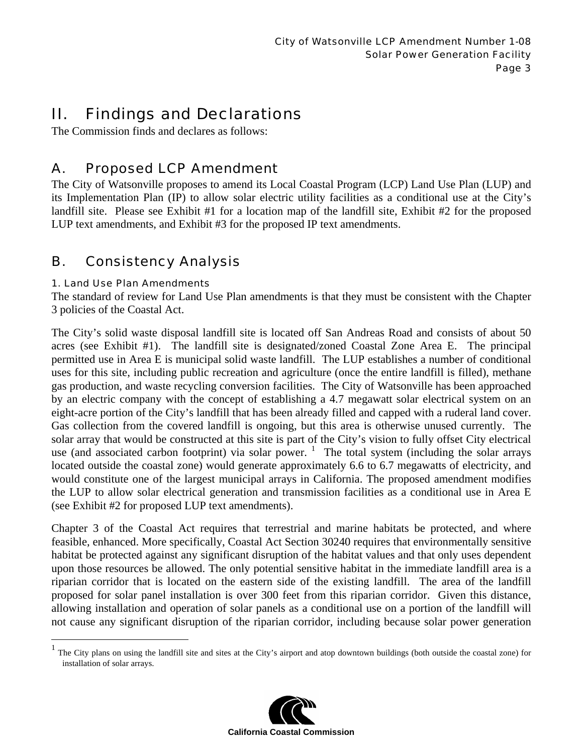# II. Findings and Declarations

The Commission finds and declares as follows:

# A. Proposed LCP Amendment

The City of Watsonville proposes to amend its Local Coastal Program (LCP) Land Use Plan (LUP) and its Implementation Plan (IP) to allow solar electric utility facilities as a conditional use at the City's landfill site. Please see Exhibit #1 for a location map of the landfill site, Exhibit #2 for the proposed LUP text amendments, and Exhibit #3 for the proposed IP text amendments.

# B. Consistency Analysis

# 1. Land Use Plan Amendments

The standard of review for Land Use Plan amendments is that they must be consistent with the Chapter 3 policies of the Coastal Act.

The City's solid waste disposal landfill site is located off San Andreas Road and consists of about 50 acres (see Exhibit #1). The landfill site is designated/zoned Coastal Zone Area E. The principal permitted use in Area E is municipal solid waste landfill. The LUP establishes a number of conditional uses for this site, including public recreation and agriculture (once the entire landfill is filled), methane gas production, and waste recycling conversion facilities. The City of Watsonville has been approached by an electric company with the concept of establishing a 4.7 megawatt solar electrical system on an eight-acre portion of the City's landfill that has been already filled and capped with a ruderal land cover. Gas collection from the covered landfill is ongoing, but this area is otherwise unused currently. The solar array that would be constructed at this site is part of the City's vision to fully offset City electrical use (and associated carbon footprint) via solar power.  $\frac{1}{1}$  The total system (including the solar arrays located outside the coastal zone) would generate approximately 6.6 to 6.7 megawatts of electricity, and would constitute one of the largest municipal arrays in California. The proposed amendment modifies the LUP to allow solar electrical generation and transmission facilities as a conditional use in Area E (see Exhibit #2 for proposed LUP text amendments).

Chapter 3 of the Coastal Act requires that terrestrial and marine habitats be protected, and where feasible, enhanced. More specifically, Coastal Act Section 30240 requires that environmentally sensitive habitat be protected against any significant disruption of the habitat values and that only uses dependent upon those resources be allowed. The only potential sensitive habitat in the immediate landfill area is a riparian corridor that is located on the eastern side of the existing landfill. The area of the landfill proposed for solar panel installation is over 300 feet from this riparian corridor. Given this distance, allowing installation and operation of solar panels as a conditional use on a portion of the landfill will not cause any significant disruption of the riparian corridor, including because solar power generation

The City plans on using the landfill site and sites at the City's airport and atop downtown buildings (both outside the coastal zone) for installation of solar arrays.

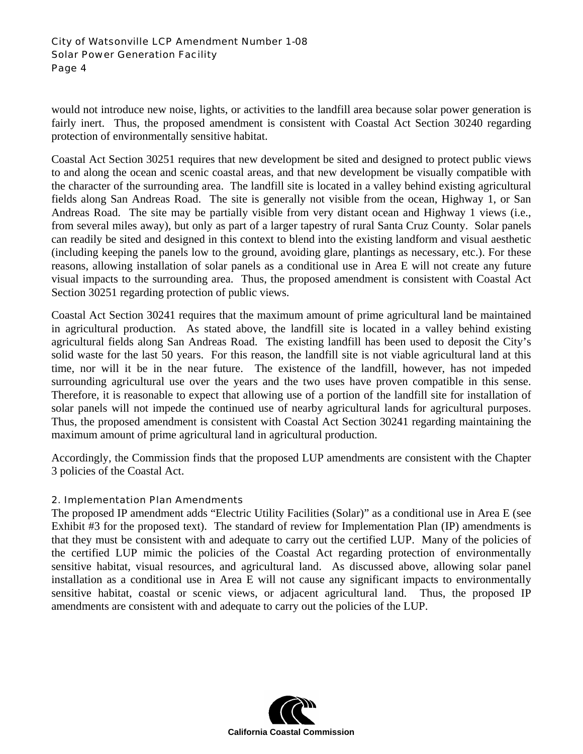### City of Watsonville LCP Amendment Number 1-08 Solar Power Generation Facility Page 4

would not introduce new noise, lights, or activities to the landfill area because solar power generation is fairly inert. Thus, the proposed amendment is consistent with Coastal Act Section 30240 regarding protection of environmentally sensitive habitat.

Coastal Act Section 30251 requires that new development be sited and designed to protect public views to and along the ocean and scenic coastal areas, and that new development be visually compatible with the character of the surrounding area. The landfill site is located in a valley behind existing agricultural fields along San Andreas Road. The site is generally not visible from the ocean, Highway 1, or San Andreas Road. The site may be partially visible from very distant ocean and Highway 1 views (i.e., from several miles away), but only as part of a larger tapestry of rural Santa Cruz County. Solar panels can readily be sited and designed in this context to blend into the existing landform and visual aesthetic (including keeping the panels low to the ground, avoiding glare, plantings as necessary, etc.). For these reasons, allowing installation of solar panels as a conditional use in Area E will not create any future visual impacts to the surrounding area. Thus, the proposed amendment is consistent with Coastal Act Section 30251 regarding protection of public views.

Coastal Act Section 30241 requires that the maximum amount of prime agricultural land be maintained in agricultural production. As stated above, the landfill site is located in a valley behind existing agricultural fields along San Andreas Road. The existing landfill has been used to deposit the City's solid waste for the last 50 years. For this reason, the landfill site is not viable agricultural land at this time, nor will it be in the near future. The existence of the landfill, however, has not impeded surrounding agricultural use over the years and the two uses have proven compatible in this sense. Therefore, it is reasonable to expect that allowing use of a portion of the landfill site for installation of solar panels will not impede the continued use of nearby agricultural lands for agricultural purposes. Thus, the proposed amendment is consistent with Coastal Act Section 30241 regarding maintaining the maximum amount of prime agricultural land in agricultural production.

Accordingly, the Commission finds that the proposed LUP amendments are consistent with the Chapter 3 policies of the Coastal Act.

# 2. Implementation Plan Amendments

The proposed IP amendment adds "Electric Utility Facilities (Solar)" as a conditional use in Area E (see Exhibit #3 for the proposed text). The standard of review for Implementation Plan (IP) amendments is that they must be consistent with and adequate to carry out the certified LUP. Many of the policies of the certified LUP mimic the policies of the Coastal Act regarding protection of environmentally sensitive habitat, visual resources, and agricultural land. As discussed above, allowing solar panel installation as a conditional use in Area E will not cause any significant impacts to environmentally sensitive habitat, coastal or scenic views, or adjacent agricultural land. Thus, the proposed IP amendments are consistent with and adequate to carry out the policies of the LUP.

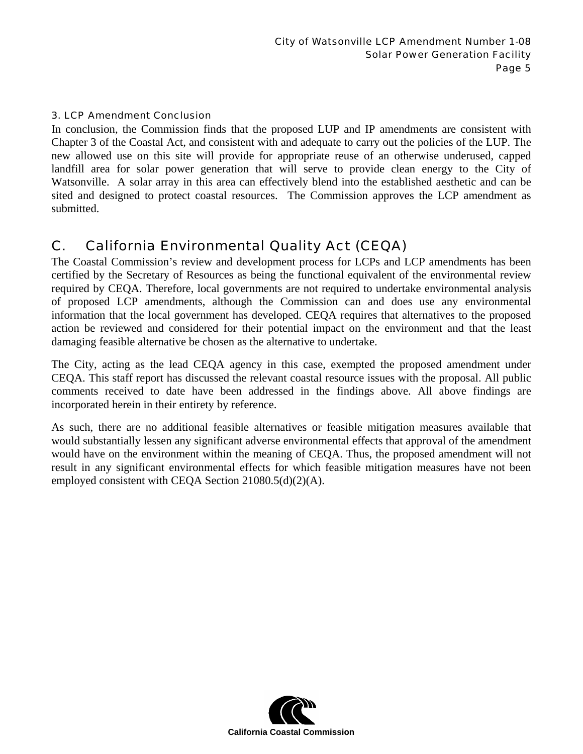### 3. LCP Amendment Conclusion

In conclusion, the Commission finds that the proposed LUP and IP amendments are consistent with Chapter 3 of the Coastal Act, and consistent with and adequate to carry out the policies of the LUP. The new allowed use on this site will provide for appropriate reuse of an otherwise underused, capped landfill area for solar power generation that will serve to provide clean energy to the City of Watsonville. A solar array in this area can effectively blend into the established aesthetic and can be sited and designed to protect coastal resources. The Commission approves the LCP amendment as submitted.

# C. California Environmental Quality Act (CEQA)

The Coastal Commission's review and development process for LCPs and LCP amendments has been certified by the Secretary of Resources as being the functional equivalent of the environmental review required by CEQA. Therefore, local governments are not required to undertake environmental analysis of proposed LCP amendments, although the Commission can and does use any environmental information that the local government has developed. CEQA requires that alternatives to the proposed action be reviewed and considered for their potential impact on the environment and that the least damaging feasible alternative be chosen as the alternative to undertake.

The City, acting as the lead CEQA agency in this case, exempted the proposed amendment under CEQA. This staff report has discussed the relevant coastal resource issues with the proposal. All public comments received to date have been addressed in the findings above. All above findings are incorporated herein in their entirety by reference.

As such, there are no additional feasible alternatives or feasible mitigation measures available that would substantially lessen any significant adverse environmental effects that approval of the amendment would have on the environment within the meaning of CEQA. Thus, the proposed amendment will not result in any significant environmental effects for which feasible mitigation measures have not been employed consistent with CEQA Section 21080.5(d)(2)(A).

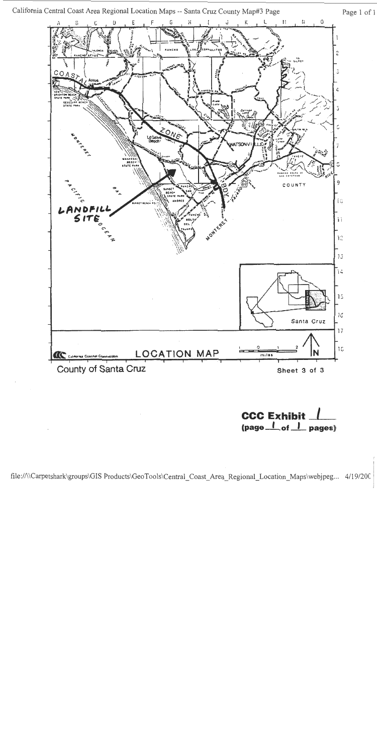

**CCC Exhibit**  $\frac{1}{1}$  (page  $\frac{1}{1}$  pages)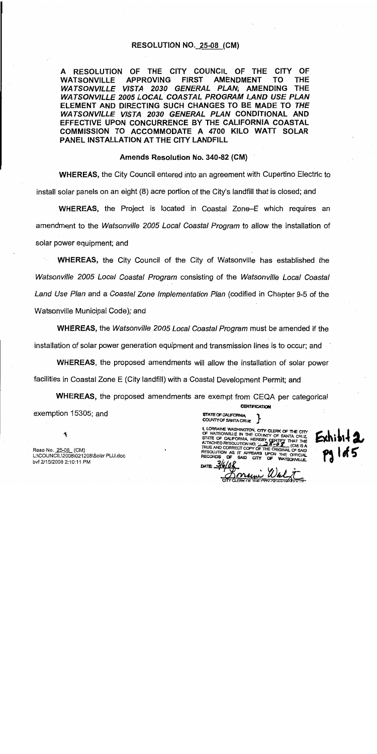### **RESOLUTION NO. 25-08 (CM)**

A RESOLUTION OF THE CITY COUNCIL OF THE CITY OF **WATSONVILLE APPROVING FIRST AMENDMENT** TΟ THE WATSONVILLE VISTA 2030 GENERAL PLAN; AMENDING THE **WATSONVILLE 2005 LOCAL COASTAL PROGRAM LAND USE PLAN** ELEMENT AND DIRECTING SUCH CHANGES TO BE MADE TO THE WATSONVILLE VISTA 2030 GENERAL PLAN CONDITIONAL AND EFFECTIVE UPON CONCURRENCE BY THE CALIFORNIA COASTAL COMMISSION TO ACCOMMODATE A 4700 KILO WATT SOLAR PANEL INSTALLATION AT THE CITY LANDFILL

### Amends Resolution No. 340-82 (CM)

**WHEREAS, the City Council entered into an agreement with Cupertino Electric to** install solar panels on an eight (8) acre portion of the City's landfill that is closed; and

WHEREAS, the Project is located in Coastal Zone–E which requires an amendment to the Watsonville 2005 Local Coastal Program to allow the installation of solar power equipment; and

**WHEREAS, the City Council of the City of Watsonville has established the** Watsonville 2005 Local Coastal Program consisting of the Watsonville Local Coastal Land Use Plan and a Coastal Zone Implementation Plan (codified in Chapter 9-5 of the Watsonville Municipal Code); and

**WHEREAS, the Watsonville 2005 Local Coastal Program must be amended if the** installation of solar power generation equipment and transmission lines is to occur; and

WHEREAS, the proposed amendments will allow the installation of solar power facilities in Coastal Zone E (City landfill) with a Coastal Development Permit; and

WHEREAS, the proposed amendments are exempt from CEQA per categorical **CERTIFICATION** exemption 15305; and

**STATE OF CALIFORNIA** COUNTY OF SANTA CRUZ

I, LORRAINE WASHINGTON, CITY CLERK OF THE CITY<br>OF WATSONVILLE IN THE COUNTY OF SANTA CRUZ STATE OF CALIFORNIA HEREBY CERTIFY THAT THE TRUE AND CORRECT COPY OF THE ORIGINAL OF SAID RESOLUTION AS IT APPEARS UPON THE OFFICIAL **RECORDS SAID** CITY

Reso No. 25-08 (CM) L:\COUNCIL\2008\021208\Solar PLU.doc bvf 2/15/2008 2:10:11 PM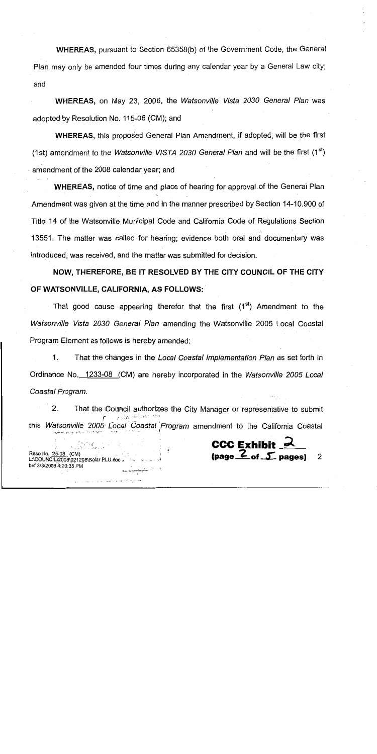**WHEREAS, pursuant to Section 65358(b) of the Government Code, the General** Plan may only be amended four times during any calendar year by a General Law city; and

WHEREAS, on May 23, 2006, the Watsonville Vista 2030 General Plan was adopted by Resolution No. 115-06 (CM); and

**WHEREAS, this proposed General Plan Amendment, if adopted, will be the first** (1st) amendment to the *Watsonville VISTA 2030 General Plan* and will be the first  $(1^{st})$ amendment of the 2008 calendar year; and

**WHEREAS, notice of time and place of hearing for approval of the General Plan** Amendment was given at the time and in the manner prescribed by Section 14-10,900 of Title 14 of the Watsonville Municipal Code and California Code of Regulations Section 13551. The matter was called for hearing; evidence both oral and documentary was introduced, was received, and the matter was submitted for decision.

NOW, THEREFORE, BE IT RESOLVED BY THE CITY COUNCIL OF THE CITY OF WATSONVILLE, CALIFORNIA, AS FOLLOWS:

That good cause appearing therefor that the first (1<sup>st</sup>) Amendment to the Watsonville Vista 2030 General Plan amending the Watsonville 2005 Local Coastal Program Element as follows is hereby amended:

 $1.$ That the changes in the Local Coastal Implementation Plan as set forth in Ordinance No. 1233-08 (CM) are hereby incorporated in the Watsonville 2005 Local Coastal Program.

 $2.$ That the Council authorizes the City Manager or representative to submit this Watsonville 2005 Local Coastal Program amendment to the California Coastal

Reso No. 25-08 (CM)

bvf 3/3/2008 4:20:35 PM

L:\COUNCIL\2008\021208\Solar PLU.doc -

**CCC Exhibit** 

(page  $Z$  of  $\mathcal I$  pages)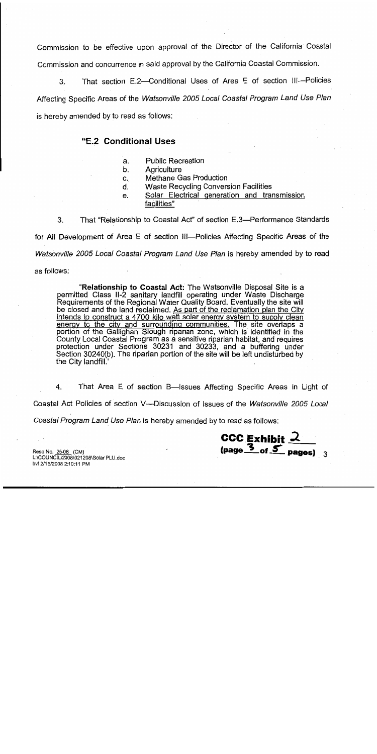Commission to be effective upon approval of the Director of the California Coastal Commission and concurrence in said approval by the California Coastal Commission.

That section E.2-Conditional Uses of Area E of section III-Policies 3. Affecting Specific Areas of the Watsonville 2005 Local Coastal Program Land Use Plan is hereby amended by to read as follows:

# "E.2 Conditional Uses

- **Public Recreation** a.
- b. Agriculture
- Methane Gas Production C.
- d. Waste Recycling Conversion Facilities
- Solar Electrical generation and transmission e. facilities"

3. That "Relationship to Coastal Act" of section E.3—Performance Standards

for All Development of Area E of section III—Policies Affecting Specific Areas of the

Watsonville 2005 Local Coastal Program Land Use Plan is hereby amended by to read

as follows:

"Relationship to Coastal Act: The Watsonville Disposal Site is a permitted Class II-2 sanitary landfill operating under Waste Discharge Requirements of the Regional Water Quality Board. Eventually the site will be closed and the land reclaimed. As part of the reclamation plan the City intends to construct a 4700 kilo watt solar energy system to supply clean energy to the city and surrounding communities. The site overlaps a portion of the Gallighan Slough riparian zone, which is identified in the County Local Coastal Program as a sensitive riparian habitat, and requires protection under Sections 30231 and 30233, and a buffering under Section 30240(b). The riparian portion of the site will be left undisturbed by the City landfill.'

 $4.$ That Area E of section B-Issues Affecting Specific Areas in Light of Coastal Act Policies of section V—Discussion of Issues of the Watsonville 2005 Local

CCC Exhibit  $2$  (page  $3$  of  $5$  pages) 3

Coastal Program Land Use Plan is hereby amended by to read as follows:

Reso No. 25-08 (CM) L:\COUNCIL\2008\021208\Solar PLU.doc bvf 2/15/2008 2:10:11 PM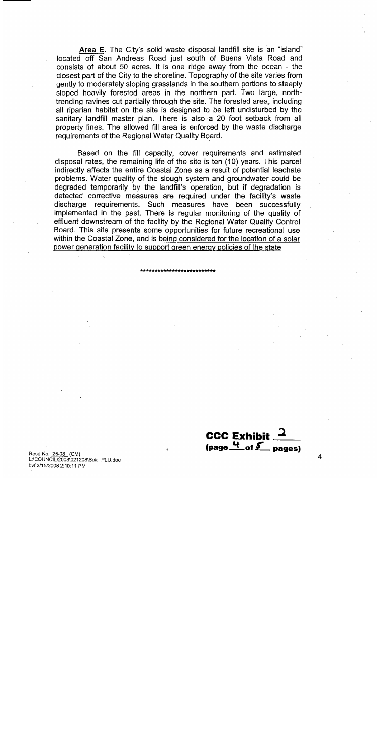Area E. The City's solid waste disposal landfill site is an "island" located off San Andreas Road just south of Buena Vista Road and consists of about 50 acres. It is one ridge away from the ocean - the closest part of the City to the shoreline. Topography of the site varies from gently to moderately sloping grasslands in the southern portions to steeply sloped heavily forested areas in the northern part. Two large, northtrending ravines cut partially through the site. The forested area, including all riparian habitat on the site is designed to be left undisturbed by the sanitary landfill master plan. There is also a 20 foot setback from all property lines. The allowed fill area is enforced by the waste discharge requirements of the Regional Water Quality Board.

Based on the fill capacity, cover requirements and estimated disposal rates, the remaining life of the site is ten (10) years. This parcel indirectly affects the entire Coastal Zone as a result of potential leachate problems. Water quality of the slough system and groundwater could be degraded temporarily by the landfill's operation, but if degradation is detected corrective measures are required under the facility's waste discharge requirements. Such measures have been successfully implemented in the past. There is regular monitoring of the quality of effluent downstream of the facility by the Regional Water Quality Control Board. This site presents some opportunities for future recreational use within the Coastal Zone, and is being considered for the location of a solar power generation facility to support green energy policies of the state

CCC Exhibit  $\frac{1}{2}$  $\frac{4}{100}$  of  $\frac{5}{100}$  pages)

Reso No. 25-08 (CM) L:\COUNCIL\2008\021208\Solar PLU.doc bvf 2/15/2008 2:10:11 PM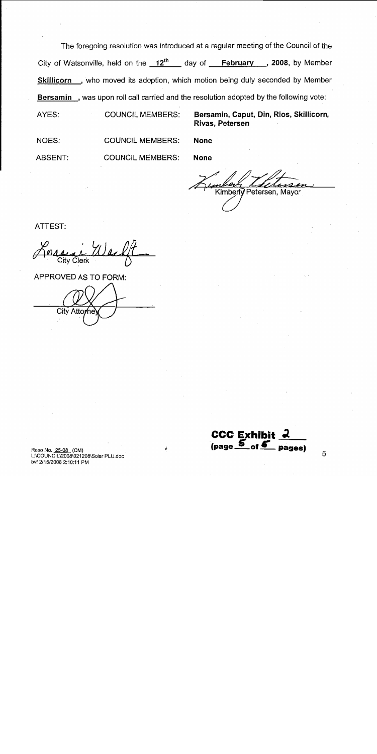The foregoing resolution was introduced at a regular meeting of the Council of the City of Watsonville, held on the  $12^{th}$  day of February , 2008, by Member Skillicorn, who moved its adoption, which motion being duly seconded by Member Bersamin, was upon roll call carried and the resolution adopted by the following vote:

AYES: **COUNCIL MEMBERS:**  Bersamin, Caput, Din, Rios, Skillicorn, Rivas, Petersen

NOES: **COUNCIL MEMBERS:** 

**ABSENT: COUNCIL MEMBERS:**  **None** 

**None** 

Kimberly Petersen, Mayor

ATTEST:

**City Clerk** 

APPROVED AS TO FORM: City Attor 'ne

**CCC Exhibit**  $(page_$  of  $6$ pages)

Reso No. 25-08 (CM) L:\COUNCIL\2008\021208\Solar PLU.doc bvf 2/15/2008 2:10:11 PM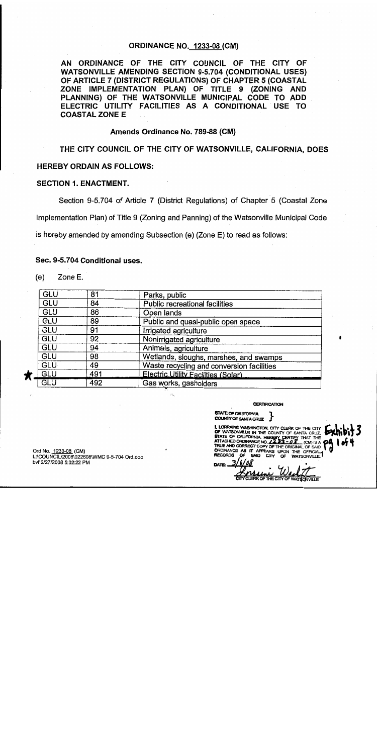### **ORDINANCE NO. 1233-08 (CM)**

AN ORDINANCE OF THE CITY COUNCIL OF THE CITY OF **WATSONVILLE AMENDING SECTION 9-5.704 (CONDITIONAL USES)** OF ARTICLE 7 (DISTRICT REGULATIONS) OF CHAPTER 5 (COASTAL ZONE IMPLEMENTATION PLAN) OF TITLE 9 (ZONING AND PLANNING) OF THE WATSONVILLE MUNICIPAL CODE TO ADD ELECTRIC UTILITY FACILITIES AS A CONDITIONAL USE TO **COASTAL ZONE E** 

#### Amends Ordinance No. 789-88 (CM)

THE CITY COUNCIL OF THE CITY OF WATSONVILLE, CALIFORNIA, DOES

### **HEREBY ORDAIN AS FOLLOWS:**

### **SECTION 1. ENACTMENT.**

Section 9-5.704 of Article 7 (District Regulations) of Chapter 5 (Coastal Zone

Implementation Plan) of Title 9 (Zoning and Panning) of the Watsonville Municipal Code

is hereby amended by amending Subsection (e) (Zone E) to read as follows:

#### Sec. 9-5.704 Conditional uses.

 $(e)$ Zone E.

| GLU        | 81  | Parks, public                             |
|------------|-----|-------------------------------------------|
| GLU        | 84  | Public recreational facilities            |
| GLU        | 86  | Open lands                                |
| GLU        | 89  | Public and quasi-public open space        |
| GLU        | 91  | Irrigated agriculture                     |
| GLU        | 92  | Nonirrigated agriculture                  |
| <b>GLU</b> | 94  | Animals, agriculture                      |
| GLU        | 98  | Wetlands, sloughs, marshes, and swamps    |
| GLU        | 49  | Waste recycling and conversion facilities |
| GLU        | 491 | Electric Utility Facilities (Solar)       |
| GLU        | 492 | Gas works, gasholders                     |

**CERTIFICATION** 

**STATE OF CALIFORNIA COUNTY OF SANTA CRUZ** 

I, LORRAINE WASHINGTON, CITY CLERK OF THE CITY OF WATSONVILLE IN THE COUNTY OF SANTA CRUZ.<br>STATE OF CALIFORNIA, HEREBY CERTIFY THAT THE ATTACHED ORDINANCE NO.  $2232 - 22$  (CM) IS A  $L$  (CM) IS A  $\bigcirc$ 0 TRUE AND CORRECT COPY OF THE ORIGINAL OF SAID ORDINANCE AS IT APPEARS UPON THE OFFICIAL **WATSONVILLE RECORDS** 

Ord No. 1233-08 (CM) L:\COUNCIL\2008\022608\WMC 9-5-704 Ord.doc bvf 2/27/2008 5:02:22 PM

**THE CITY OF**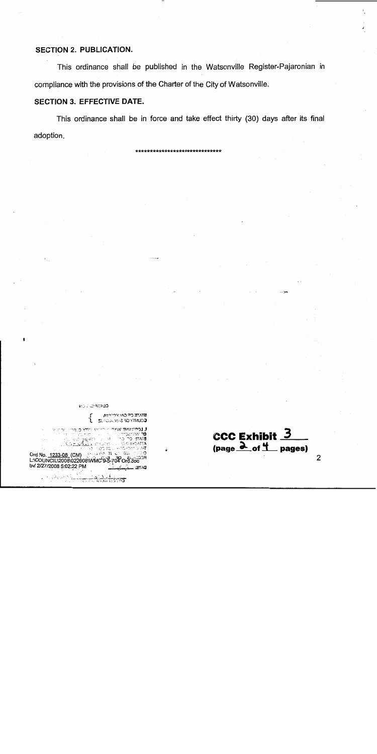# SECTION 2. PUBLICATION.

This ordinance shall be published in the Watsonville Register-Pajaronian in compliance with the provisions of the Charter of the City of Watsonville.

# **SECTION 3. EFFECTIVE DATE.**

This ordinance shall be in force and take effect thirty (30) days after its final adoption.

**KO ADMITED** 

**AR THE OR GALLY TO THE A SUPERING 30 YTHICS** 

**THURTAN RO** 

ਾਂ) ਤਾਨਾਂਕ **COLORATES** 

CCC Exhibit  $\overline{3}$  $(page \nightharpoonup of \nightharpoonup_{\text{pages}})$ 

 $\cdots$ 

, die juist<br>22 Maar v Drd No. 1233-08 (CM)<br>Drd No. 1233-08 (CM)<br>L:\COUNCIL\2008\022808\WMC'9-8-704 Ord.doc<sup>278</sup> bvf 2/27/2008 5:02:22 PM этла

ייני אי ב**יחץ כ**נוו

the common

 $\overline{2}$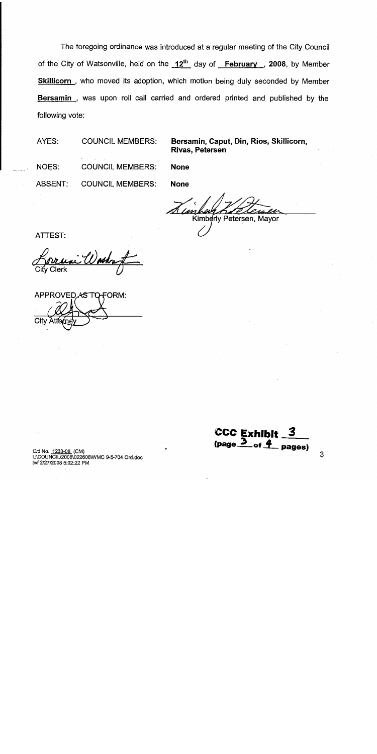The foregoing ordinance was introduced at a regular meeting of the City Council of the City of Watsonville, held on the 12<sup>th</sup> day of February, 2008, by Member Skillicorn, who moved its adoption, which motion being duly seconded by Member Bersamin, was upon roll call carried and ordered printed and published by the following vote:

AYES: **COUNCIL MEMBERS: NOES: COUNCIL MEMBERS:** ABSENT: **COUNCIL MEMBERS:** 

**None** 

**None** 

**Rivas, Petersen** 

Kimberly Petersen, Mayor

Bersamin, Caput, Din, Rios, Skillicorn,

ATTEST:

ashut

APPROVED AS TO FORM: City A

**CCC Exhibit**  $(page_2)$ of  $\boldsymbol{4}$ . pages)

Ord No. 1233-08 (CM) L:\COUNCIL\2008\022608\WMC 9-5-704 Ord.doc bvf 2/27/2008 5:02:22 PM